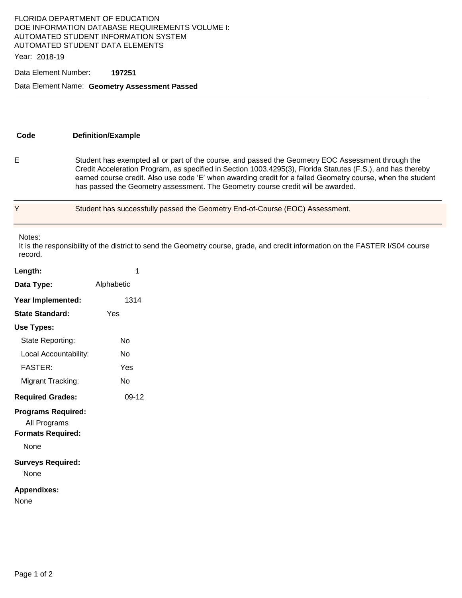## FLORIDA DEPARTMENT OF EDUCATION DOE INFORMATION DATABASE REQUIREMENTS VOLUME I: AUTOMATED STUDENT INFORMATION SYSTEM AUTOMATED STUDENT DATA ELEMENTS

Year: 2018-19

### Data Element Number: **197251**

#### Data Element Name: **Geometry Assessment Passed**

| Code | <b>Definition/Example</b>                                                                                                                                                                                                                                                                                                                                                                                           |
|------|---------------------------------------------------------------------------------------------------------------------------------------------------------------------------------------------------------------------------------------------------------------------------------------------------------------------------------------------------------------------------------------------------------------------|
|      | Student has exempted all or part of the course, and passed the Geometry EOC Assessment through the<br>Credit Acceleration Program, as specified in Section 1003.4295(3), Florida Statutes (F.S.), and has thereby<br>earned course credit. Also use code 'E' when awarding credit for a failed Geometry course, when the student<br>has passed the Geometry assessment. The Geometry course credit will be awarded. |

Student has successfully passed the Geometry End-of-Course (EOC) Assessment.

Notes:

It is the responsibility of the district to send the Geometry course, grade, and credit information on the FASTER I/S04 course record.

| Length:                                                                       | 1          |
|-------------------------------------------------------------------------------|------------|
| Data Type:                                                                    | Alphabetic |
| Year Implemented:                                                             | 1314       |
| <b>State Standard:</b>                                                        | Yes        |
| Use Types:                                                                    |            |
| State Reporting:                                                              | No         |
| Local Accountability:                                                         | N٥         |
| <b>FASTER:</b>                                                                | Yes        |
| Migrant Tracking:                                                             | No         |
| <b>Required Grades:</b>                                                       | 09-12      |
| <b>Programs Required:</b><br>All Programs<br><b>Formats Required:</b><br>None |            |
| <b>Surveys Required:</b><br>None                                              |            |
| <b>Appendixes:</b><br>None                                                    |            |